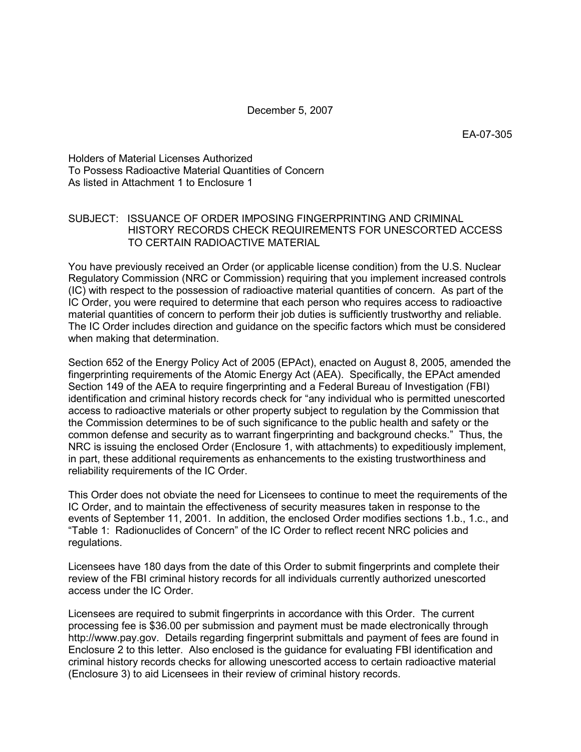December 5, 2007

EA-07-305

Holders of Material Licenses Authorized To Possess Radioactive Material Quantities of Concern As listed in Attachment 1 to Enclosure 1

# SUBJECT: ISSUANCE OF ORDER IMPOSING FINGERPRINTING AND CRIMINAL HISTORY RECORDS CHECK REQUIREMENTS FOR UNESCORTED ACCESS TO CERTAIN RADIOACTIVE MATERIAL

You have previously received an Order (or applicable license condition) from the U.S. Nuclear Regulatory Commission (NRC or Commission) requiring that you implement increased controls (IC) with respect to the possession of radioactive material quantities of concern. As part of the IC Order, you were required to determine that each person who requires access to radioactive material quantities of concern to perform their job duties is sufficiently trustworthy and reliable. The IC Order includes direction and guidance on the specific factors which must be considered when making that determination.

Section 652 of the Energy Policy Act of 2005 (EPAct), enacted on August 8, 2005, amended the fingerprinting requirements of the Atomic Energy Act (AEA). Specifically, the EPAct amended Section 149 of the AEA to require fingerprinting and a Federal Bureau of Investigation (FBI) identification and criminal history records check for "any individual who is permitted unescorted access to radioactive materials or other property subject to regulation by the Commission that the Commission determines to be of such significance to the public health and safety or the common defense and security as to warrant fingerprinting and background checks." Thus, the NRC is issuing the enclosed Order (Enclosure 1, with attachments) to expeditiously implement, in part, these additional requirements as enhancements to the existing trustworthiness and reliability requirements of the IC Order.

This Order does not obviate the need for Licensees to continue to meet the requirements of the IC Order, and to maintain the effectiveness of security measures taken in response to the events of September 11, 2001. In addition, the enclosed Order modifies sections 1.b., 1.c., and "Table 1: Radionuclides of Concern" of the IC Order to reflect recent NRC policies and regulations.

Licensees have 180 days from the date of this Order to submit fingerprints and complete their review of the FBI criminal history records for all individuals currently authorized unescorted access under the IC Order.

Licensees are required to submit fingerprints in accordance with this Order. The current processing fee is \$36.00 per submission and payment must be made electronically through http://www.pay.gov. Details regarding fingerprint submittals and payment of fees are found in Enclosure 2 to this letter. Also enclosed is the guidance for evaluating FBI identification and criminal history records checks for allowing unescorted access to certain radioactive material (Enclosure 3) to aid Licensees in their review of criminal history records.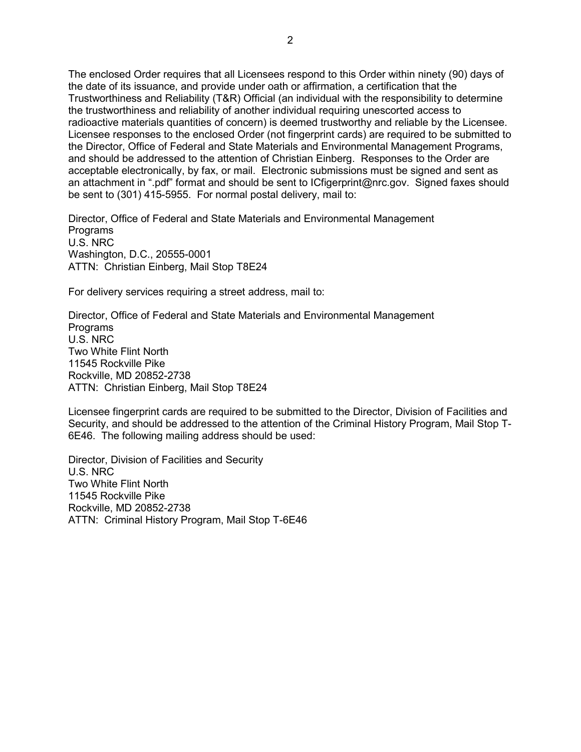The enclosed Order requires that all Licensees respond to this Order within ninety (90) days of the date of its issuance, and provide under oath or affirmation, a certification that the Trustworthiness and Reliability (T&R) Official (an individual with the responsibility to determine the trustworthiness and reliability of another individual requiring unescorted access to radioactive materials quantities of concern) is deemed trustworthy and reliable by the Licensee. Licensee responses to the enclosed Order (not fingerprint cards) are required to be submitted to the Director, Office of Federal and State Materials and Environmental Management Programs, and should be addressed to the attention of Christian Einberg. Responses to the Order are acceptable electronically, by fax, or mail. Electronic submissions must be signed and sent as an attachment in ".pdf" format and should be sent to ICfigerprint@nrc.gov. Signed faxes should be sent to (301) 415-5955. For normal postal delivery, mail to:

Director, Office of Federal and State Materials and Environmental Management Programs U.S. NRC Washington, D.C., 20555-0001 ATTN: Christian Einberg, Mail Stop T8E24

For delivery services requiring a street address, mail to:

Director, Office of Federal and State Materials and Environmental Management Programs U.S. NRC Two White Flint North 11545 Rockville Pike Rockville, MD 20852-2738 ATTN: Christian Einberg, Mail Stop T8E24

Licensee fingerprint cards are required to be submitted to the Director, Division of Facilities and Security, and should be addressed to the attention of the Criminal History Program, Mail Stop T-6E46. The following mailing address should be used:

Director, Division of Facilities and Security U.S. NRC Two White Flint North 11545 Rockville Pike Rockville, MD 20852-2738 ATTN: Criminal History Program, Mail Stop T-6E46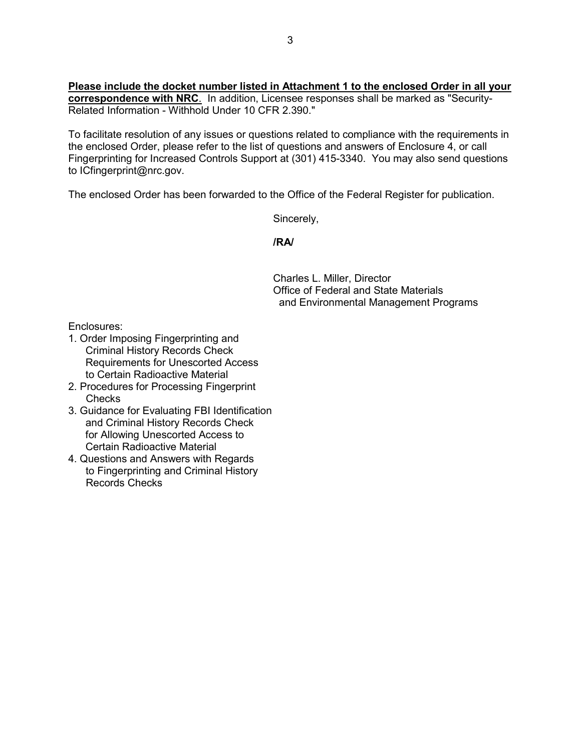**Please include the docket number listed in Attachment 1 to the enclosed Order in all your correspondence with NRC**. In addition, Licensee responses shall be marked as "Security-Related Information - Withhold Under 10 CFR 2.390."

To facilitate resolution of any issues or questions related to compliance with the requirements in the enclosed Order, please refer to the list of questions and answers of Enclosure 4, or call Fingerprinting for Increased Controls Support at (301) 415-3340. You may also send questions to ICfingerprint@nrc.gov.

The enclosed Order has been forwarded to the Office of the Federal Register for publication.

Sincerely,

*<i><u> /RA/*  $\sim$  /RA/  $\sim$ </u>

Charles L. Miller, Director Office of Federal and State Materials and Environmental Management Programs

Enclosures:

- 1. Order Imposing Fingerprinting and Criminal History Records Check Requirements for Unescorted Access to Certain Radioactive Material
- 2. Procedures for Processing Fingerprint Checks
- 3. Guidance for Evaluating FBI Identification and Criminal History Records Check for Allowing Unescorted Access to Certain Radioactive Material
- 4. Questions and Answers with Regards to Fingerprinting and Criminal History Records Checks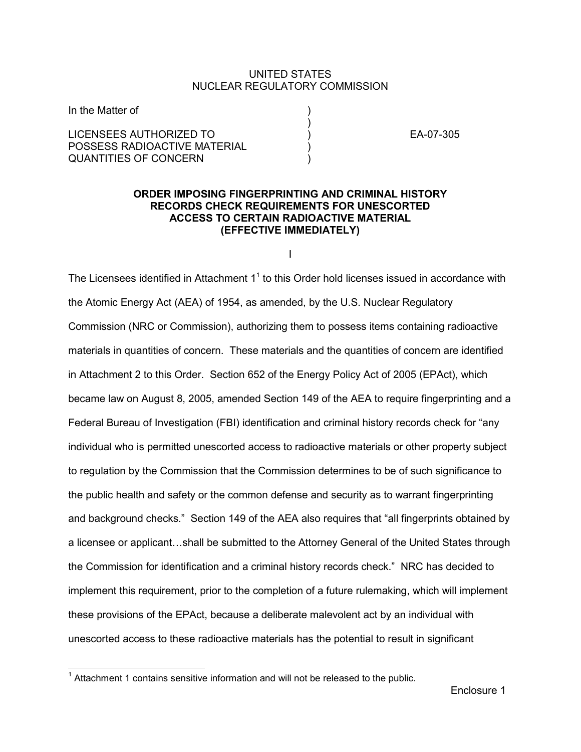### UNITED STATES NUCLEAR REGULATORY COMMISSION

| In the Matter of             |  |
|------------------------------|--|
|                              |  |
| LICENSEES AUTHORIZED TO      |  |
| POSSESS RADIOACTIVE MATERIAL |  |
| QUANTITIES OF CONCERN        |  |

EA-07-305

# **ORDER IMPOSING FINGERPRINTING AND CRIMINAL HISTORY RECORDS CHECK REQUIREMENTS FOR UNESCORTED ACCESS TO CERTAIN RADIOACTIVE MATERIAL (EFFECTIVE IMMEDIATELY)**

I

The Licensees identified in Attachment  $1<sup>1</sup>$  to this Order hold licenses issued in accordance with the Atomic Energy Act (AEA) of 1954, as amended, by the U.S. Nuclear Regulatory Commission (NRC or Commission), authorizing them to possess items containing radioactive materials in quantities of concern. These materials and the quantities of concern are identified in Attachment 2 to this Order. Section 652 of the Energy Policy Act of 2005 (EPAct), which became law on August 8, 2005, amended Section 149 of the AEA to require fingerprinting and a Federal Bureau of Investigation (FBI) identification and criminal history records check for "any individual who is permitted unescorted access to radioactive materials or other property subject to regulation by the Commission that the Commission determines to be of such significance to the public health and safety or the common defense and security as to warrant fingerprinting and background checks." Section 149 of the AEA also requires that "all fingerprints obtained by a licensee or applicant…shall be submitted to the Attorney General of the United States through the Commission for identification and a criminal history records check." NRC has decided to implement this requirement, prior to the completion of a future rulemaking, which will implement these provisions of the EPAct, because a deliberate malevolent act by an individual with unescorted access to these radioactive materials has the potential to result in significant

 $1$  Attachment 1 contains sensitive information and will not be released to the public.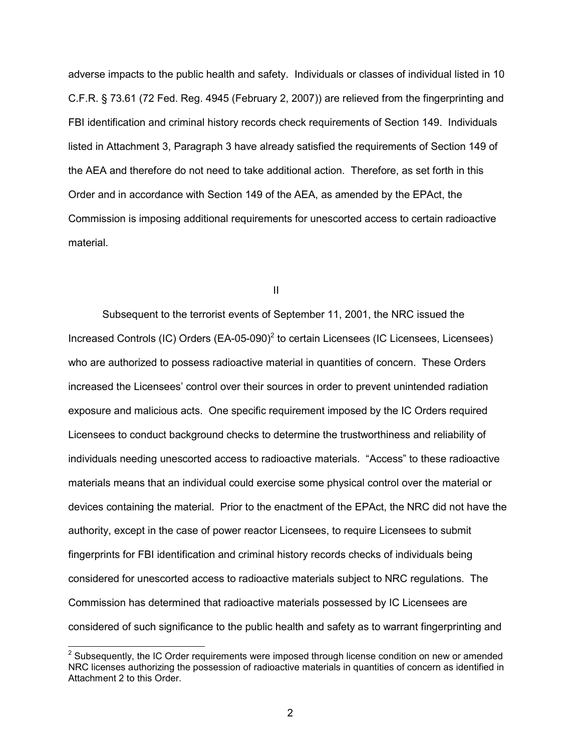adverse impacts to the public health and safety. Individuals or classes of individual listed in 10 C.F.R. § 73.61 (72 Fed. Reg. 4945 (February 2, 2007)) are relieved from the fingerprinting and FBI identification and criminal history records check requirements of Section 149. Individuals listed in Attachment 3, Paragraph 3 have already satisfied the requirements of Section 149 of the AEA and therefore do not need to take additional action. Therefore, as set forth in this Order and in accordance with Section 149 of the AEA, as amended by the EPAct, the Commission is imposing additional requirements for unescorted access to certain radioactive material.

**III** and the contract of the contract of the contract of the contract of the contract of the contract of the contract of the contract of the contract of the contract of the contract of the contract of the contract of the

Subsequent to the terrorist events of September 11, 2001, the NRC issued the Increased Controls (IC) Orders  $(EA-05-090)^2$  to certain Licensees (IC Licensees, Licensees) who are authorized to possess radioactive material in quantities of concern. These Orders increased the Licensees' control over their sources in order to prevent unintended radiation exposure and malicious acts. One specific requirement imposed by the IC Orders required Licensees to conduct background checks to determine the trustworthiness and reliability of individuals needing unescorted access to radioactive materials. "Access" to these radioactive materials means that an individual could exercise some physical control over the material or devices containing the material. Prior to the enactment of the EPAct, the NRC did not have the authority, except in the case of power reactor Licensees, to require Licensees to submit fingerprints for FBI identification and criminal history records checks of individuals being considered for unescorted access to radioactive materials subject to NRC regulations. The Commission has determined that radioactive materials possessed by IC Licensees are considered of such significance to the public health and safety as to warrant fingerprinting and

-

 $2$  Subsequently, the IC Order requirements were imposed through license condition on new or amended NRC licenses authorizing the possession of radioactive materials in quantities of concern as identified in Attachment 2 to this Order.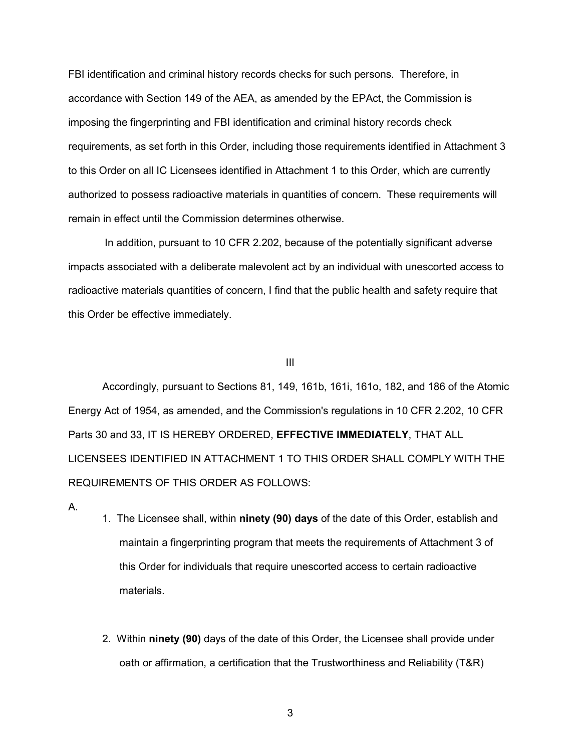FBI identification and criminal history records checks for such persons. Therefore, in accordance with Section 149 of the AEA, as amended by the EPAct, the Commission is imposing the fingerprinting and FBI identification and criminal history records check requirements, as set forth in this Order, including those requirements identified in Attachment 3 to this Order on all IC Licensees identified in Attachment 1 to this Order, which are currently authorized to possess radioactive materials in quantities of concern. These requirements will remain in effect until the Commission determines otherwise.

In addition, pursuant to 10 CFR 2.202, because of the potentially significant adverse impacts associated with a deliberate malevolent act by an individual with unescorted access to radioactive materials quantities of concern, I find that the public health and safety require that this Order be effective immediately.

#### III

Accordingly, pursuant to Sections 81, 149, 161b, 161i, 161o, 182, and 186 of the Atomic Energy Act of 1954, as amended, and the Commission's regulations in 10 CFR 2.202, 10 CFR Parts 30 and 33, IT IS HEREBY ORDERED, **EFFECTIVE IMMEDIATELY**, THAT ALL LICENSEES IDENTIFIED IN ATTACHMENT 1 TO THIS ORDER SHALL COMPLY WITH THE REQUIREMENTS OF THIS ORDER AS FOLLOWS:

- A.
- 1. The Licensee shall, within **ninety (90) days** of the date of this Order, establish and maintain a fingerprinting program that meets the requirements of Attachment 3 of this Order for individuals that require unescorted access to certain radioactive materials.
- 2. Within **ninety (90)** days of the date of this Order, the Licensee shall provide under oath or affirmation, a certification that the Trustworthiness and Reliability (T&R)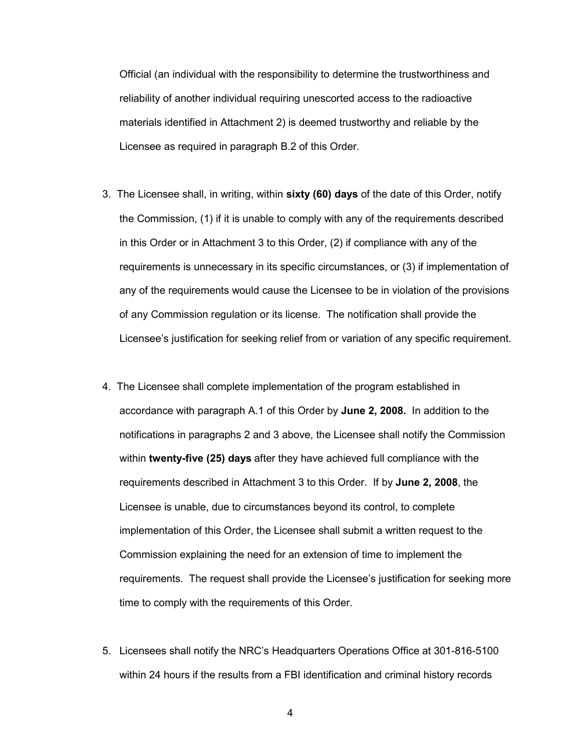Official (an individual with the responsibility to determine the trustworthiness and reliability of another individual requiring unescorted access to the radioactive materials identified in Attachment 2) is deemed trustworthy and reliable by the Licensee as required in paragraph B.2 of this Order.

- 3. The Licensee shall, in writing, within **sixty (60) days** of the date of this Order, notify the Commission, (1) if it is unable to comply with any of the requirements described in this Order or in Attachment 3 to this Order, (2) if compliance with any of the requirements is unnecessary in its specific circumstances, or (3) if implementation of any of the requirements would cause the Licensee to be in violation of the provisions of any Commission regulation or its license. The notification shall provide the Licensee's justification for seeking relief from or variation of any specific requirement.
- 4. The Licensee shall complete implementation of the program established in accordance with paragraph A.1 of this Order by **June 2, 2008.** In addition to the notifications in paragraphs 2 and 3 above, the Licensee shall notify the Commission within **twenty-five (25) days** after they have achieved full compliance with the requirements described in Attachment 3 to this Order. If by **June 2, 2008**, the Licensee is unable, due to circumstances beyond its control, to complete implementation of this Order, the Licensee shall submit a written request to the Commission explaining the need for an extension of time to implement the requirements. The request shall provide the Licensee's justification for seeking more time to comply with the requirements of this Order.
- 5. Licensees shall notify the NRC's Headquarters Operations Office at 301-816-5100 within 24 hours if the results from a FBI identification and criminal history records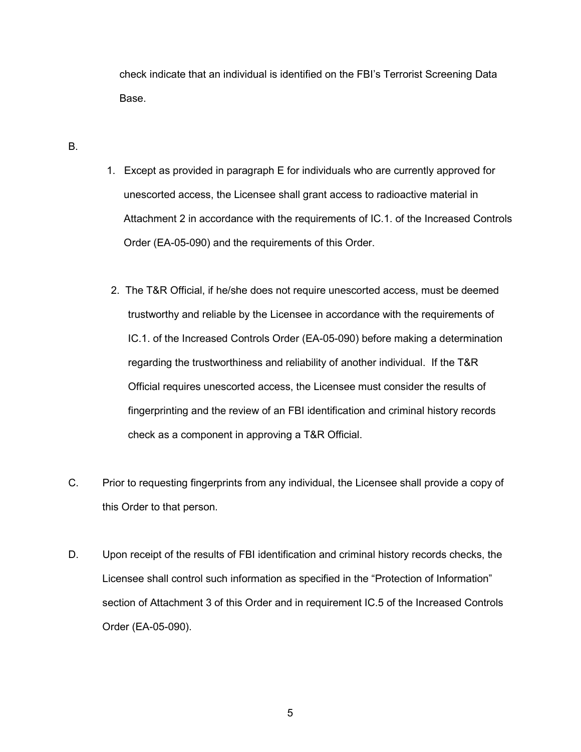check indicate that an individual is identified on the FBI's Terrorist Screening Data Base.

B.

- 1. Except as provided in paragraph E for individuals who are currently approved for unescorted access, the Licensee shall grant access to radioactive material in Attachment 2 in accordance with the requirements of IC.1. of the Increased Controls Order (EA-05-090) and the requirements of this Order.
- 2. The T&R Official, if he/she does not require unescorted access, must be deemed trustworthy and reliable by the Licensee in accordance with the requirements of IC.1. of the Increased Controls Order (EA-05-090) before making a determination regarding the trustworthiness and reliability of another individual. If the T&R Official requires unescorted access, the Licensee must consider the results of fingerprinting and the review of an FBI identification and criminal history records check as a component in approving a T&R Official.
- C. Prior to requesting fingerprints from any individual, the Licensee shall provide a copy of this Order to that person.
- D. Upon receipt of the results of FBI identification and criminal history records checks, the Licensee shall control such information as specified in the "Protection of Information" section of Attachment 3 of this Order and in requirement IC.5 of the Increased Controls Order (EA-05-090).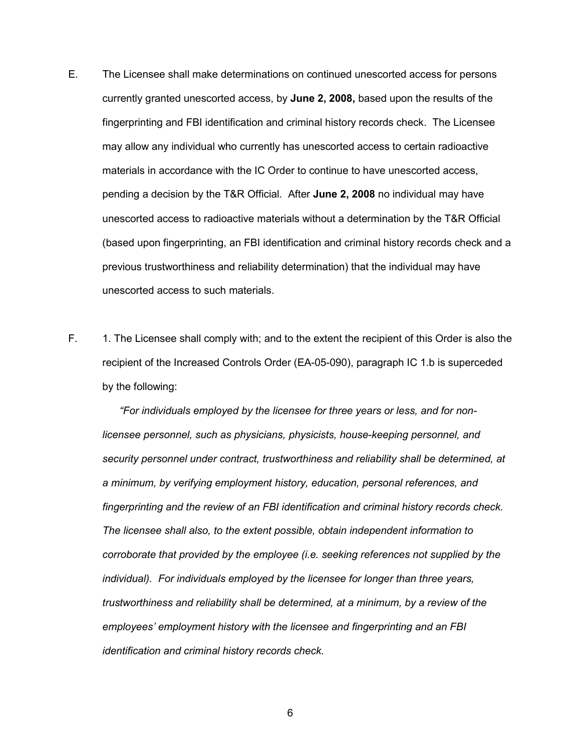- E. The Licensee shall make determinations on continued unescorted access for persons currently granted unescorted access, by **June 2, 2008,** based upon the results of the fingerprinting and FBI identification and criminal history records check. The Licensee may allow any individual who currently has unescorted access to certain radioactive materials in accordance with the IC Order to continue to have unescorted access, pending a decision by the T&R Official. After **June 2, 2008** no individual may have unescorted access to radioactive materials without a determination by the T&R Official (based upon fingerprinting, an FBI identification and criminal history records check and a previous trustworthiness and reliability determination) that the individual may have unescorted access to such materials.
- F. 1. The Licensee shall comply with; and to the extent the recipient of this Order is also the recipient of the Increased Controls Order (EA-05-090), paragraph IC 1.b is superceded by the following:

 *"For individuals employed by the licensee for three years or less, and for nonlicensee personnel, such as physicians, physicists, house-keeping personnel, and security personnel under contract, trustworthiness and reliability shall be determined, at a minimum, by verifying employment history, education, personal references, and fingerprinting and the review of an FBI identification and criminal history records check. The licensee shall also, to the extent possible, obtain independent information to corroborate that provided by the employee (i.e. seeking references not supplied by the individual). For individuals employed by the licensee for longer than three years, trustworthiness and reliability shall be determined, at a minimum, by a review of the employees' employment history with the licensee and fingerprinting and an FBI identification and criminal history records check.*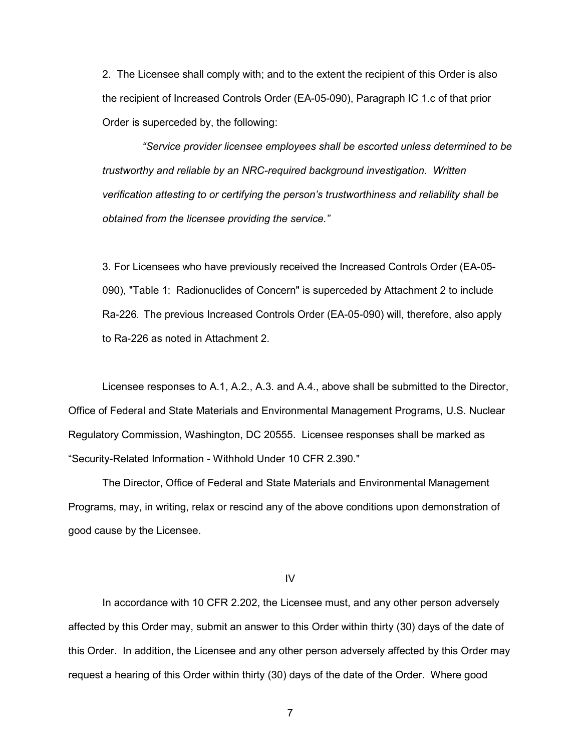2. The Licensee shall comply with; and to the extent the recipient of this Order is also the recipient of Increased Controls Order (EA-05-090), Paragraph IC 1.c of that prior Order is superceded by, the following:

 *"Service provider licensee employees shall be escorted unless determined to be trustworthy and reliable by an NRC-required background investigation. Written verification attesting to or certifying the person's trustworthiness and reliability shall be obtained from the licensee providing the service."* 

3. For Licensees who have previously received the Increased Controls Order (EA-05- 090), "Table 1: Radionuclides of Concern" is superceded by Attachment 2 to include Ra-226. The previous Increased Controls Order (EA-05-090) will, therefore, also apply to Ra-226 as noted in Attachment 2.

 Licensee responses to A.1, A.2., A.3. and A.4., above shall be submitted to the Director, Office of Federal and State Materials and Environmental Management Programs, U.S. Nuclear Regulatory Commission, Washington, DC 20555. Licensee responses shall be marked as "Security-Related Information - Withhold Under 10 CFR 2.390."

 The Director, Office of Federal and State Materials and Environmental Management Programs, may, in writing, relax or rescind any of the above conditions upon demonstration of good cause by the Licensee.

IV

 In accordance with 10 CFR 2.202, the Licensee must, and any other person adversely affected by this Order may, submit an answer to this Order within thirty (30) days of the date of this Order. In addition, the Licensee and any other person adversely affected by this Order may request a hearing of this Order within thirty (30) days of the date of the Order. Where good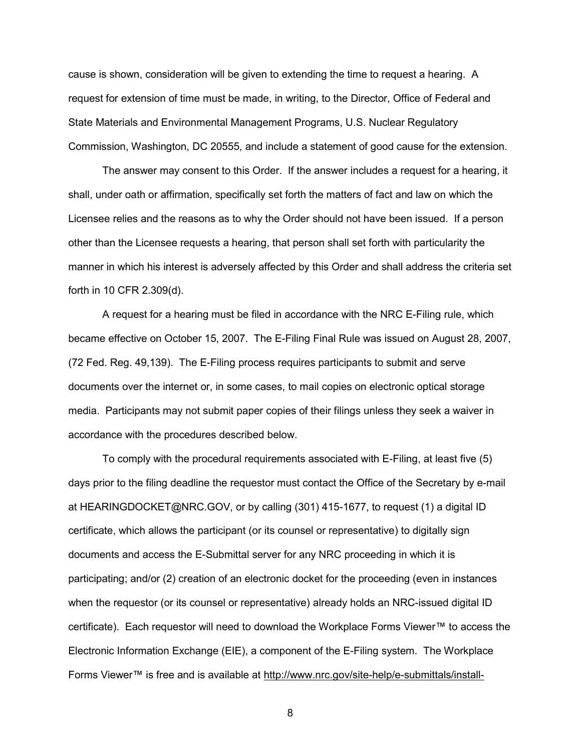cause is shown, consideration will be given to extending the time to request a hearing. A request for extension of time must be made, in writing, to the Director, Office of Federal and State Materials and Environmental Management Programs, U.S. Nuclear Regulatory Commission, Washington, DC 20555, and include a statement of good cause for the extension.

 The answer may consent to this Order. If the answer includes a request for a hearing, it shall, under oath or affirmation, specifically set forth the matters of fact and law on which the Licensee relies and the reasons as to why the Order should not have been issued. If a person other than the Licensee requests a hearing, that person shall set forth with particularity the manner in which his interest is adversely affected by this Order and shall address the criteria set forth in 10 CFR 2.309(d).

 A request for a hearing must be filed in accordance with the NRC E-Filing rule, which became effective on October 15, 2007. The E-Filing Final Rule was issued on August 28, 2007, (72 Fed. Reg. 49,139). The E-Filing process requires participants to submit and serve documents over the internet or, in some cases, to mail copies on electronic optical storage media. Participants may not submit paper copies of their filings unless they seek a waiver in accordance with the procedures described below.

 To comply with the procedural requirements associated with E-Filing, at least five (5) days prior to the filing deadline the requestor must contact the Office of the Secretary by e-mail at HEARINGDOCKET@NRC.GOV, or by calling (301) 415-1677, to request (1) a digital ID certificate, which allows the participant (or its counsel or representative) to digitally sign documents and access the E-Submittal server for any NRC proceeding in which it is participating; and/or (2) creation of an electronic docket for the proceeding (even in instances when the requestor (or its counsel or representative) already holds an NRC-issued digital ID certificate). Each requestor will need to download the Workplace Forms Viewer™ to access the Electronic Information Exchange (EIE), a component of the E-Filing system. The Workplace Forms Viewer™ is free and is available at http://www.nrc.gov/site-help/e-submittals/install-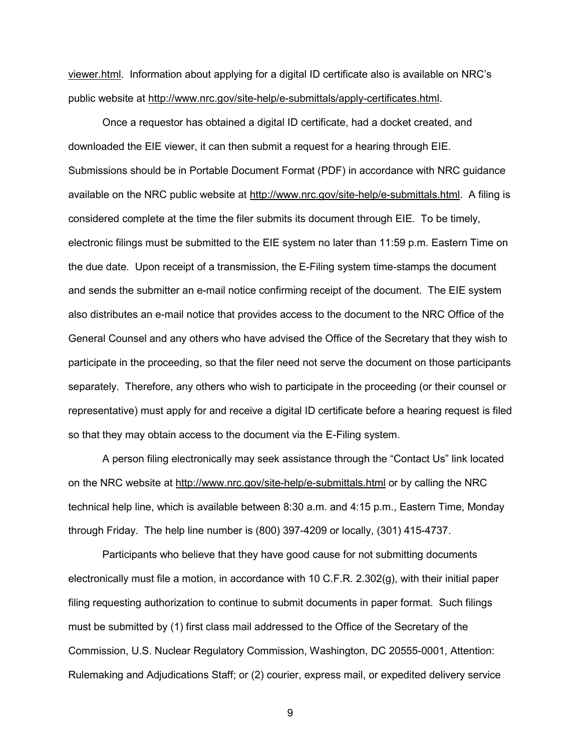viewer.html. Information about applying for a digital ID certificate also is available on NRC's public website at http://www.nrc.gov/site-help/e-submittals/apply-certificates.html.

 Once a requestor has obtained a digital ID certificate, had a docket created, and downloaded the EIE viewer, it can then submit a request for a hearing through EIE. Submissions should be in Portable Document Format (PDF) in accordance with NRC guidance available on the NRC public website at http://www.nrc.gov/site-help/e-submittals.html. A filing is considered complete at the time the filer submits its document through EIE. To be timely, electronic filings must be submitted to the EIE system no later than 11:59 p.m. Eastern Time on the due date. Upon receipt of a transmission, the E-Filing system time-stamps the document and sends the submitter an e-mail notice confirming receipt of the document. The EIE system also distributes an e-mail notice that provides access to the document to the NRC Office of the General Counsel and any others who have advised the Office of the Secretary that they wish to participate in the proceeding, so that the filer need not serve the document on those participants separately. Therefore, any others who wish to participate in the proceeding (or their counsel or representative) must apply for and receive a digital ID certificate before a hearing request is filed so that they may obtain access to the document via the E-Filing system.

 A person filing electronically may seek assistance through the "Contact Us" link located on the NRC website at http://www.nrc.gov/site-help/e-submittals.html or by calling the NRC technical help line, which is available between 8:30 a.m. and 4:15 p.m., Eastern Time, Monday through Friday. The help line number is (800) 397-4209 or locally, (301) 415-4737.

 Participants who believe that they have good cause for not submitting documents electronically must file a motion, in accordance with 10 C.F.R. 2.302(g), with their initial paper filing requesting authorization to continue to submit documents in paper format. Such filings must be submitted by (1) first class mail addressed to the Office of the Secretary of the Commission, U.S. Nuclear Regulatory Commission, Washington, DC 20555-0001, Attention: Rulemaking and Adjudications Staff; or (2) courier, express mail, or expedited delivery service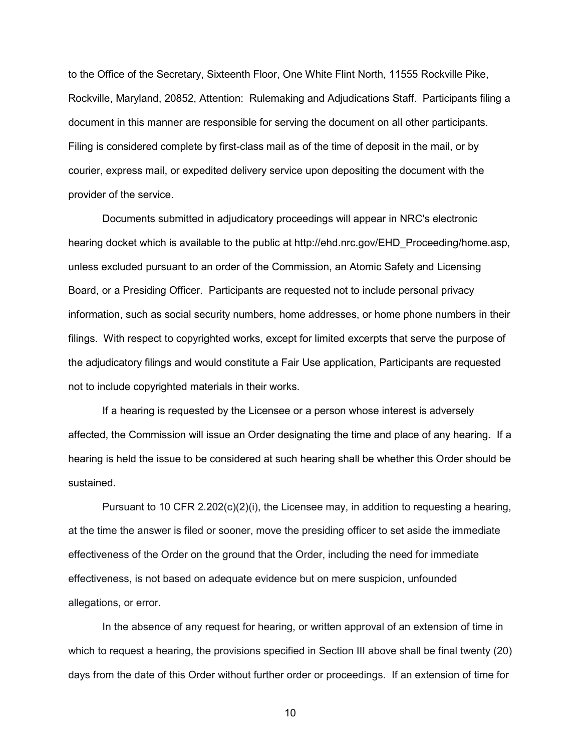to the Office of the Secretary, Sixteenth Floor, One White Flint North, 11555 Rockville Pike, Rockville, Maryland, 20852, Attention: Rulemaking and Adjudications Staff. Participants filing a document in this manner are responsible for serving the document on all other participants. Filing is considered complete by first-class mail as of the time of deposit in the mail, or by courier, express mail, or expedited delivery service upon depositing the document with the provider of the service.

 Documents submitted in adjudicatory proceedings will appear in NRC's electronic hearing docket which is available to the public at http://ehd.nrc.gov/EHD\_Proceeding/home.asp, unless excluded pursuant to an order of the Commission, an Atomic Safety and Licensing Board, or a Presiding Officer. Participants are requested not to include personal privacy information, such as social security numbers, home addresses, or home phone numbers in their filings. With respect to copyrighted works, except for limited excerpts that serve the purpose of the adjudicatory filings and would constitute a Fair Use application, Participants are requested not to include copyrighted materials in their works.

 If a hearing is requested by the Licensee or a person whose interest is adversely affected, the Commission will issue an Order designating the time and place of any hearing. If a hearing is held the issue to be considered at such hearing shall be whether this Order should be sustained.

Pursuant to 10 CFR 2.202(c)(2)(i), the Licensee may, in addition to requesting a hearing, at the time the answer is filed or sooner, move the presiding officer to set aside the immediate effectiveness of the Order on the ground that the Order, including the need for immediate effectiveness, is not based on adequate evidence but on mere suspicion, unfounded allegations, or error.

 In the absence of any request for hearing, or written approval of an extension of time in which to request a hearing, the provisions specified in Section III above shall be final twenty (20) days from the date of this Order without further order or proceedings. If an extension of time for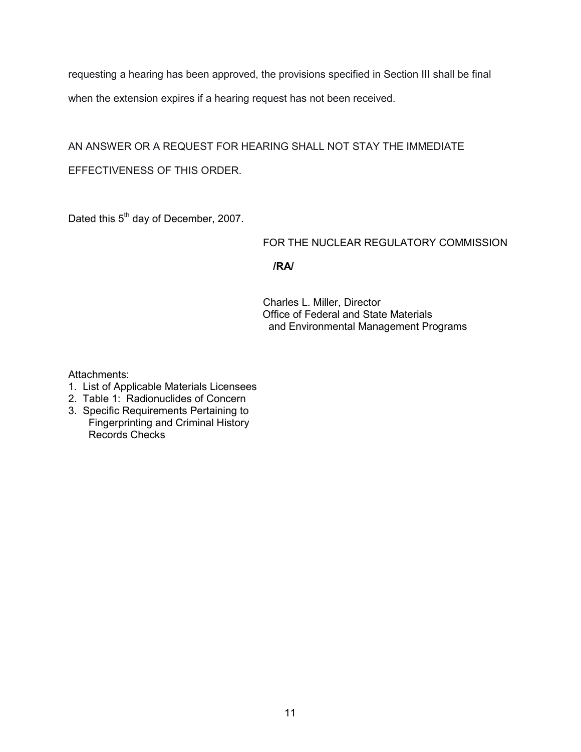requesting a hearing has been approved, the provisions specified in Section III shall be final when the extension expires if a hearing request has not been received.

AN ANSWER OR A REQUEST FOR HEARING SHALL NOT STAY THE IMMEDIATE EFFECTIVENESS OF THIS ORDER.

Dated this 5<sup>th</sup> day of December, 2007.

# FOR THE NUCLEAR REGULATORY COMMISSION

**/RA/** 

 Charles L. Miller, Director Office of Federal and State Materials and Environmental Management Programs

Attachments:

- 1. List of Applicable Materials Licensees
- 2. Table 1: Radionuclides of Concern
- 3. Specific Requirements Pertaining to Fingerprinting and Criminal History Records Checks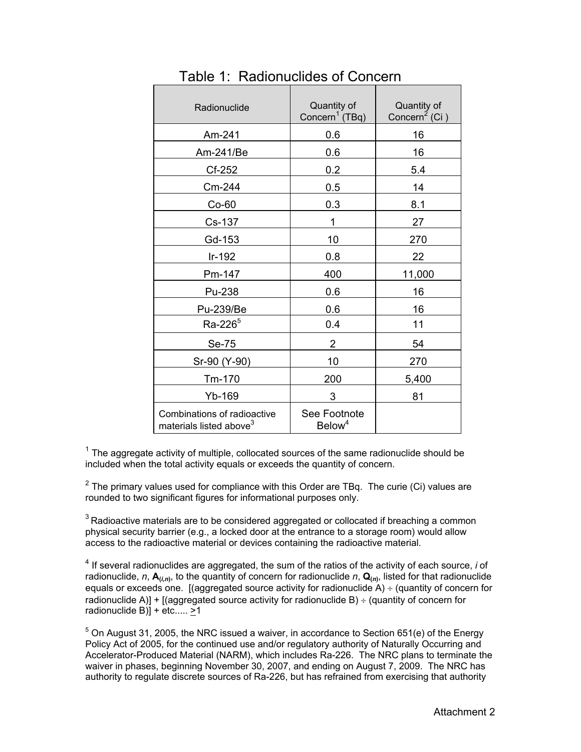| Radionuclide                                                       | Quantity of<br>Concern <sup>1</sup> (TBq) | Quantity of<br>Concern <sup>2</sup> (Ci) |
|--------------------------------------------------------------------|-------------------------------------------|------------------------------------------|
| Am-241                                                             | 0.6                                       | 16                                       |
| Am-241/Be                                                          | 0.6                                       | 16                                       |
| Cf-252                                                             | 0.2                                       | 5.4                                      |
| Cm-244                                                             | 0.5                                       | 14                                       |
| $Co-60$                                                            | 0.3                                       | 8.1                                      |
| Cs-137                                                             | 1                                         | 27                                       |
| Gd-153                                                             | 10                                        | 270                                      |
| $Ir-192$                                                           | 0.8                                       | 22                                       |
| Pm-147                                                             | 400                                       | 11,000                                   |
| Pu-238                                                             | 0.6                                       | 16                                       |
| Pu-239/Be                                                          | 0.6                                       | 16                                       |
| Ra-226 <sup>5</sup>                                                | 0.4                                       | 11                                       |
| Se-75                                                              | $\overline{2}$                            | 54                                       |
| Sr-90 (Y-90)                                                       | 10                                        | 270                                      |
| Tm-170                                                             | 200                                       | 5,400                                    |
| Yb-169                                                             | 3                                         | 81                                       |
| Combinations of radioactive<br>materials listed above <sup>3</sup> | See Footnote<br>Below <sup>4</sup>        |                                          |

Table 1: Radionuclides of Concern

 $1$  The aggregate activity of multiple, collocated sources of the same radionuclide should be included when the total activity equals or exceeds the quantity of concern.

 $2$  The primary values used for compliance with this Order are TBq. The curie (Ci) values are rounded to two significant figures for informational purposes only.

 $3$  Radioactive materials are to be considered aggregated or collocated if breaching a common physical security barrier (e.g., a locked door at the entrance to a storage room) would allow access to the radioactive material or devices containing the radioactive material.

4 If several radionuclides are aggregated, the sum of the ratios of the activity of each source, *i* of radionuclide, *n*,  $A_{(i,n)}$ , to the quantity of concern for radionuclide *n*,  $Q_{(n)}$ , listed for that radionuclide equals or exceeds one. [(aggregated source activity for radionuclide  $\overline{A}$ ) ÷ (quantity of concern for radionuclide A)] + [(aggregated source activity for radionuclide B)  $\div$  (quantity of concern for radionuclide B) $] +$  etc.....  $\geq 1$ 

 $5$  On August 31, 2005, the NRC issued a waiver, in accordance to Section 651(e) of the Energy Policy Act of 2005, for the continued use and/or regulatory authority of Naturally Occurring and Accelerator-Produced Material (NARM), which includes Ra-226. The NRC plans to terminate the waiver in phases, beginning November 30, 2007, and ending on August 7, 2009. The NRC has authority to regulate discrete sources of Ra-226, but has refrained from exercising that authority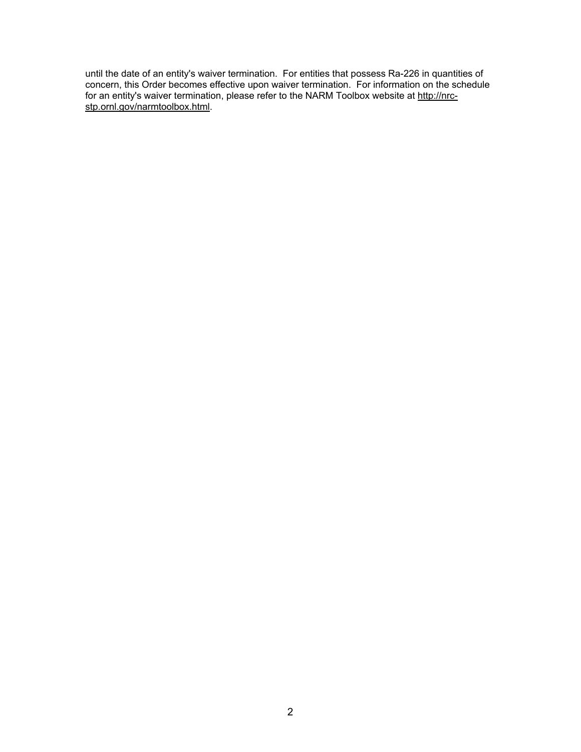until the date of an entity's waiver termination. For entities that possess Ra-226 in quantities of concern, this Order becomes effective upon waiver termination. For information on the schedule for an entity's waiver termination, please refer to the NARM Toolbox website at http://nrcstp.ornl.gov/narmtoolbox.html.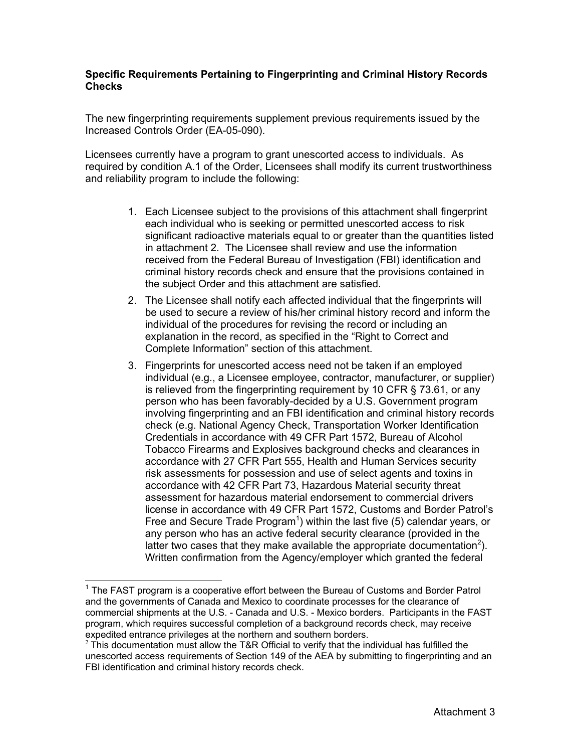# **Specific Requirements Pertaining to Fingerprinting and Criminal History Records Checks**

The new fingerprinting requirements supplement previous requirements issued by the Increased Controls Order (EA-05-090).

Licensees currently have a program to grant unescorted access to individuals. As required by condition A.1 of the Order, Licensees shall modify its current trustworthiness and reliability program to include the following:

- 1. Each Licensee subject to the provisions of this attachment shall fingerprint each individual who is seeking or permitted unescorted access to risk significant radioactive materials equal to or greater than the quantities listed in attachment 2. The Licensee shall review and use the information received from the Federal Bureau of Investigation (FBI) identification and criminal history records check and ensure that the provisions contained in the subject Order and this attachment are satisfied.
- 2. The Licensee shall notify each affected individual that the fingerprints will be used to secure a review of his/her criminal history record and inform the individual of the procedures for revising the record or including an explanation in the record, as specified in the "Right to Correct and Complete Information" section of this attachment.
- 3. Fingerprints for unescorted access need not be taken if an employed individual (e.g., a Licensee employee, contractor, manufacturer, or supplier) is relieved from the fingerprinting requirement by 10 CFR § 73.61, or any person who has been favorably-decided by a U.S. Government program involving fingerprinting and an FBI identification and criminal history records check (e.g. National Agency Check, Transportation Worker Identification Credentials in accordance with 49 CFR Part 1572, Bureau of Alcohol Tobacco Firearms and Explosives background checks and clearances in accordance with 27 CFR Part 555, Health and Human Services security risk assessments for possession and use of select agents and toxins in accordance with 42 CFR Part 73, Hazardous Material security threat assessment for hazardous material endorsement to commercial drivers license in accordance with 49 CFR Part 1572, Customs and Border Patrol's Free and Secure Trade Program<sup>1</sup>) within the last five (5) calendar years, or any person who has an active federal security clearance (provided in the latter two cases that they make available the appropriate documentation<sup>2</sup>). Written confirmation from the Agency/employer which granted the federal

l  $1$  The FAST program is a cooperative effort between the Bureau of Customs and Border Patrol and the governments of Canada and Mexico to coordinate processes for the clearance of commercial shipments at the U.S. - Canada and U.S. - Mexico borders. Participants in the FAST program, which requires successful completion of a background records check, may receive expedited entrance privileges at the northern and southern borders.<br><sup>2</sup> This documentation must allow the T&R Official to verify that the individual has fulfilled the

unescorted access requirements of Section 149 of the AEA by submitting to fingerprinting and an FBI identification and criminal history records check.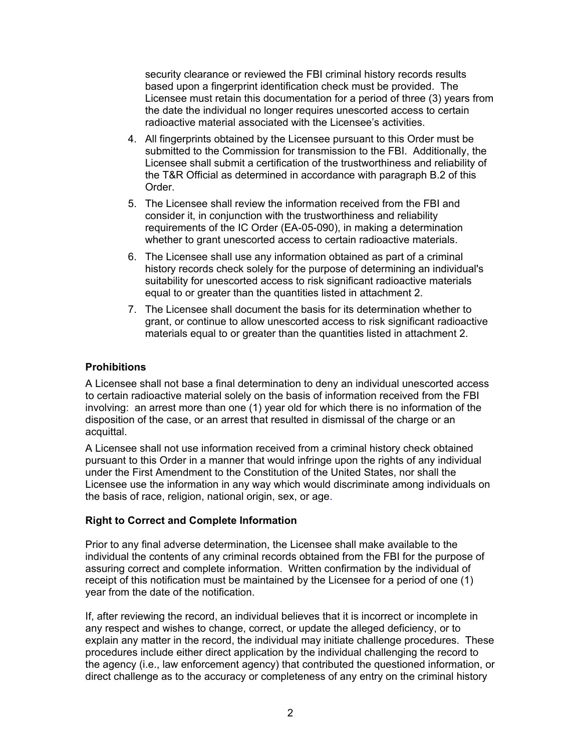security clearance or reviewed the FBI criminal history records results based upon a fingerprint identification check must be provided. The Licensee must retain this documentation for a period of three (3) years from the date the individual no longer requires unescorted access to certain radioactive material associated with the Licensee's activities.

- 4. All fingerprints obtained by the Licensee pursuant to this Order must be submitted to the Commission for transmission to the FBI. Additionally, the Licensee shall submit a certification of the trustworthiness and reliability of the T&R Official as determined in accordance with paragraph B.2 of this Order.
- 5. The Licensee shall review the information received from the FBI and consider it, in conjunction with the trustworthiness and reliability requirements of the IC Order (EA-05-090), in making a determination whether to grant unescorted access to certain radioactive materials.
- 6. The Licensee shall use any information obtained as part of a criminal history records check solely for the purpose of determining an individual's suitability for unescorted access to risk significant radioactive materials equal to or greater than the quantities listed in attachment 2.
- 7. The Licensee shall document the basis for its determination whether to grant, or continue to allow unescorted access to risk significant radioactive materials equal to or greater than the quantities listed in attachment 2.

# **Prohibitions**

A Licensee shall not base a final determination to deny an individual unescorted access to certain radioactive material solely on the basis of information received from the FBI involving: an arrest more than one (1) year old for which there is no information of the disposition of the case, or an arrest that resulted in dismissal of the charge or an acquittal.

A Licensee shall not use information received from a criminal history check obtained pursuant to this Order in a manner that would infringe upon the rights of any individual under the First Amendment to the Constitution of the United States, nor shall the Licensee use the information in any way which would discriminate among individuals on the basis of race, religion, national origin, sex, or age.

# **Right to Correct and Complete Information**

Prior to any final adverse determination, the Licensee shall make available to the individual the contents of any criminal records obtained from the FBI for the purpose of assuring correct and complete information. Written confirmation by the individual of receipt of this notification must be maintained by the Licensee for a period of one (1) year from the date of the notification.

If, after reviewing the record, an individual believes that it is incorrect or incomplete in any respect and wishes to change, correct, or update the alleged deficiency, or to explain any matter in the record, the individual may initiate challenge procedures. These procedures include either direct application by the individual challenging the record to the agency (i.e., law enforcement agency) that contributed the questioned information, or direct challenge as to the accuracy or completeness of any entry on the criminal history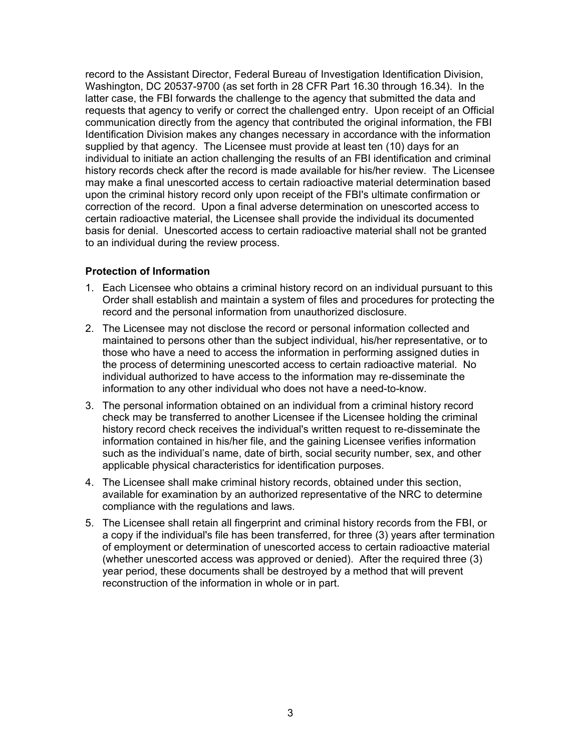record to the Assistant Director, Federal Bureau of Investigation Identification Division, Washington, DC 20537-9700 (as set forth in 28 CFR Part 16.30 through 16.34). In the latter case, the FBI forwards the challenge to the agency that submitted the data and requests that agency to verify or correct the challenged entry. Upon receipt of an Official communication directly from the agency that contributed the original information, the FBI Identification Division makes any changes necessary in accordance with the information supplied by that agency. The Licensee must provide at least ten (10) days for an individual to initiate an action challenging the results of an FBI identification and criminal history records check after the record is made available for his/her review. The Licensee may make a final unescorted access to certain radioactive material determination based upon the criminal history record only upon receipt of the FBI's ultimate confirmation or correction of the record. Upon a final adverse determination on unescorted access to certain radioactive material, the Licensee shall provide the individual its documented basis for denial. Unescorted access to certain radioactive material shall not be granted to an individual during the review process.

# **Protection of Information**

- 1. Each Licensee who obtains a criminal history record on an individual pursuant to this Order shall establish and maintain a system of files and procedures for protecting the record and the personal information from unauthorized disclosure.
- 2. The Licensee may not disclose the record or personal information collected and maintained to persons other than the subject individual, his/her representative, or to those who have a need to access the information in performing assigned duties in the process of determining unescorted access to certain radioactive material. No individual authorized to have access to the information may re-disseminate the information to any other individual who does not have a need-to-know.
- 3. The personal information obtained on an individual from a criminal history record check may be transferred to another Licensee if the Licensee holding the criminal history record check receives the individual's written request to re-disseminate the information contained in his/her file, and the gaining Licensee verifies information such as the individual's name, date of birth, social security number, sex, and other applicable physical characteristics for identification purposes.
- 4. The Licensee shall make criminal history records, obtained under this section, available for examination by an authorized representative of the NRC to determine compliance with the regulations and laws.
- 5. The Licensee shall retain all fingerprint and criminal history records from the FBI, or a copy if the individual's file has been transferred, for three (3) years after termination of employment or determination of unescorted access to certain radioactive material (whether unescorted access was approved or denied). After the required three (3) year period, these documents shall be destroyed by a method that will prevent reconstruction of the information in whole or in part.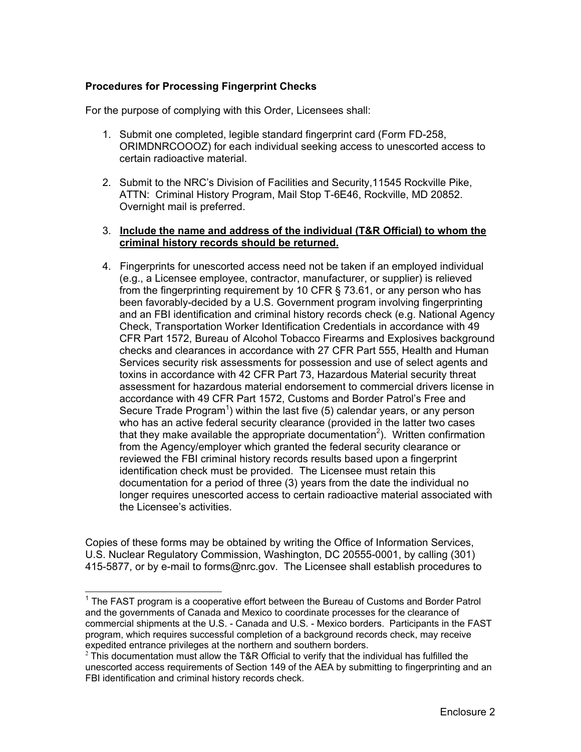# **Procedures for Processing Fingerprint Checks**

For the purpose of complying with this Order, Licensees shall:

- 1. Submit one completed, legible standard fingerprint card (Form FD-258, ORIMDNRCOOOZ) for each individual seeking access to unescorted access to certain radioactive material.
- 2. Submit to the NRC's Division of Facilities and Security,11545 Rockville Pike, ATTN: Criminal History Program, Mail Stop T-6E46, Rockville, MD 20852. Overnight mail is preferred.

# 3. **Include the name and address of the individual (T&R Official) to whom the criminal history records should be returned.**

4. Fingerprints for unescorted access need not be taken if an employed individual (e.g., a Licensee employee, contractor, manufacturer, or supplier) is relieved from the fingerprinting requirement by 10 CFR  $\S$  73.61, or any person who has been favorably-decided by a U.S. Government program involving fingerprinting and an FBI identification and criminal history records check (e.g. National Agency Check, Transportation Worker Identification Credentials in accordance with 49 CFR Part 1572, Bureau of Alcohol Tobacco Firearms and Explosives background checks and clearances in accordance with 27 CFR Part 555, Health and Human Services security risk assessments for possession and use of select agents and toxins in accordance with 42 CFR Part 73, Hazardous Material security threat assessment for hazardous material endorsement to commercial drivers license in accordance with 49 CFR Part 1572, Customs and Border Patrol's Free and Secure Trade Program<sup>1</sup>) within the last five (5) calendar years, or any person who has an active federal security clearance (provided in the latter two cases that they make available the appropriate documentation<sup>2</sup>). Written confirmation from the Agency/employer which granted the federal security clearance or reviewed the FBI criminal history records results based upon a fingerprint identification check must be provided. The Licensee must retain this documentation for a period of three (3) years from the date the individual no longer requires unescorted access to certain radioactive material associated with the Licensee's activities.

Copies of these forms may be obtained by writing the Office of Information Services, U.S. Nuclear Regulatory Commission, Washington, DC 20555-0001, by calling (301) 415-5877, or by e-mail to forms@nrc.gov. The Licensee shall establish procedures to

THE FAST program is a cooperative effort between the Bureau of Customs and Border Patrol and the governments of Canada and Mexico to coordinate processes for the clearance of commercial shipments at the U.S. - Canada and U.S. - Mexico borders. Participants in the FAST program, which requires successful completion of a background records check, may receive expedited entrance privileges at the northern and southern borders.<br><sup>2</sup> This documentation must allow the T&R Official to verify that the individual has fulfilled the

unescorted access requirements of Section 149 of the AEA by submitting to fingerprinting and an FBI identification and criminal history records check.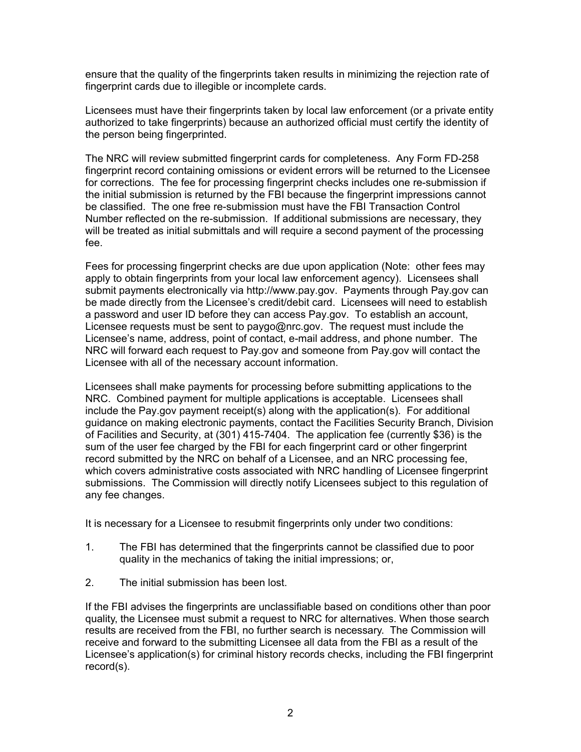ensure that the quality of the fingerprints taken results in minimizing the rejection rate of fingerprint cards due to illegible or incomplete cards.

Licensees must have their fingerprints taken by local law enforcement (or a private entity authorized to take fingerprints) because an authorized official must certify the identity of the person being fingerprinted.

The NRC will review submitted fingerprint cards for completeness. Any Form FD-258 fingerprint record containing omissions or evident errors will be returned to the Licensee for corrections. The fee for processing fingerprint checks includes one re-submission if the initial submission is returned by the FBI because the fingerprint impressions cannot be classified. The one free re-submission must have the FBI Transaction Control Number reflected on the re-submission. If additional submissions are necessary, they will be treated as initial submittals and will require a second payment of the processing fee.

Fees for processing fingerprint checks are due upon application (Note: other fees may apply to obtain fingerprints from your local law enforcement agency). Licensees shall submit payments electronically via http://www.pay.gov. Payments through Pay.gov can be made directly from the Licensee's credit/debit card. Licensees will need to establish a password and user ID before they can access Pay.gov. To establish an account, Licensee requests must be sent to paygo@nrc.gov. The request must include the Licensee's name, address, point of contact, e-mail address, and phone number. The NRC will forward each request to Pay.gov and someone from Pay.gov will contact the Licensee with all of the necessary account information.

Licensees shall make payments for processing before submitting applications to the NRC. Combined payment for multiple applications is acceptable. Licensees shall include the Pay.gov payment receipt(s) along with the application(s). For additional guidance on making electronic payments, contact the Facilities Security Branch, Division of Facilities and Security, at (301) 415-7404. The application fee (currently \$36) is the sum of the user fee charged by the FBI for each fingerprint card or other fingerprint record submitted by the NRC on behalf of a Licensee, and an NRC processing fee, which covers administrative costs associated with NRC handling of Licensee fingerprint submissions. The Commission will directly notify Licensees subject to this regulation of any fee changes.

It is necessary for a Licensee to resubmit fingerprints only under two conditions:

- 1. The FBI has determined that the fingerprints cannot be classified due to poor quality in the mechanics of taking the initial impressions; or,
- 2. The initial submission has been lost.

If the FBI advises the fingerprints are unclassifiable based on conditions other than poor quality, the Licensee must submit a request to NRC for alternatives. When those search results are received from the FBI, no further search is necessary. The Commission will receive and forward to the submitting Licensee all data from the FBI as a result of the Licensee's application(s) for criminal history records checks, including the FBI fingerprint record(s).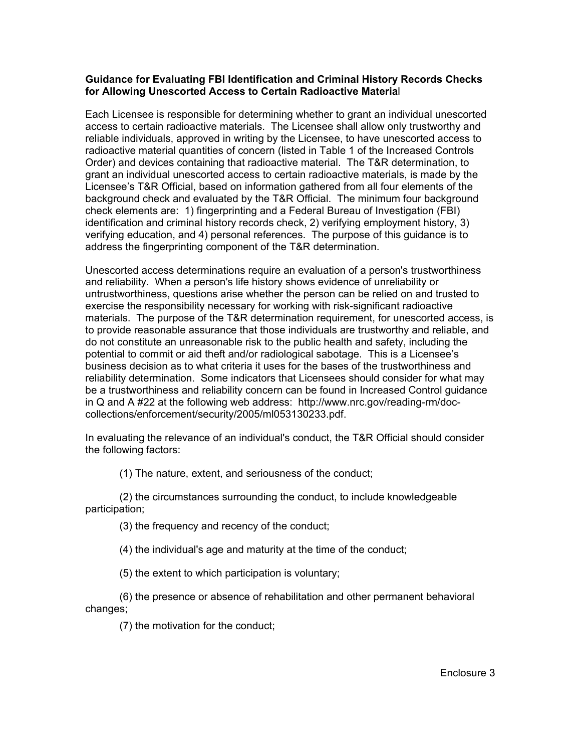# **Guidance for Evaluating FBI Identification and Criminal History Records Checks for Allowing Unescorted Access to Certain Radioactive Materia**l

Each Licensee is responsible for determining whether to grant an individual unescorted access to certain radioactive materials. The Licensee shall allow only trustworthy and reliable individuals, approved in writing by the Licensee, to have unescorted access to radioactive material quantities of concern (listed in Table 1 of the Increased Controls Order) and devices containing that radioactive material. The T&R determination, to grant an individual unescorted access to certain radioactive materials, is made by the Licensee's T&R Official, based on information gathered from all four elements of the background check and evaluated by the T&R Official. The minimum four background check elements are: 1) fingerprinting and a Federal Bureau of Investigation (FBI) identification and criminal history records check, 2) verifying employment history, 3) verifying education, and 4) personal references. The purpose of this guidance is to address the fingerprinting component of the T&R determination.

Unescorted access determinations require an evaluation of a person's trustworthiness and reliability. When a person's life history shows evidence of unreliability or untrustworthiness, questions arise whether the person can be relied on and trusted to exercise the responsibility necessary for working with risk-significant radioactive materials. The purpose of the T&R determination requirement, for unescorted access, is to provide reasonable assurance that those individuals are trustworthy and reliable, and do not constitute an unreasonable risk to the public health and safety, including the potential to commit or aid theft and/or radiological sabotage. This is a Licensee's business decision as to what criteria it uses for the bases of the trustworthiness and reliability determination. Some indicators that Licensees should consider for what may be a trustworthiness and reliability concern can be found in Increased Control guidance in Q and A #22 at the following web address: http://www.nrc.gov/reading-rm/doccollections/enforcement/security/2005/ml053130233.pdf.

In evaluating the relevance of an individual's conduct, the T&R Official should consider the following factors:

(1) The nature, extent, and seriousness of the conduct;

(2) the circumstances surrounding the conduct, to include knowledgeable participation;

(3) the frequency and recency of the conduct;

(4) the individual's age and maturity at the time of the conduct;

(5) the extent to which participation is voluntary;

(6) the presence or absence of rehabilitation and other permanent behavioral changes;

(7) the motivation for the conduct;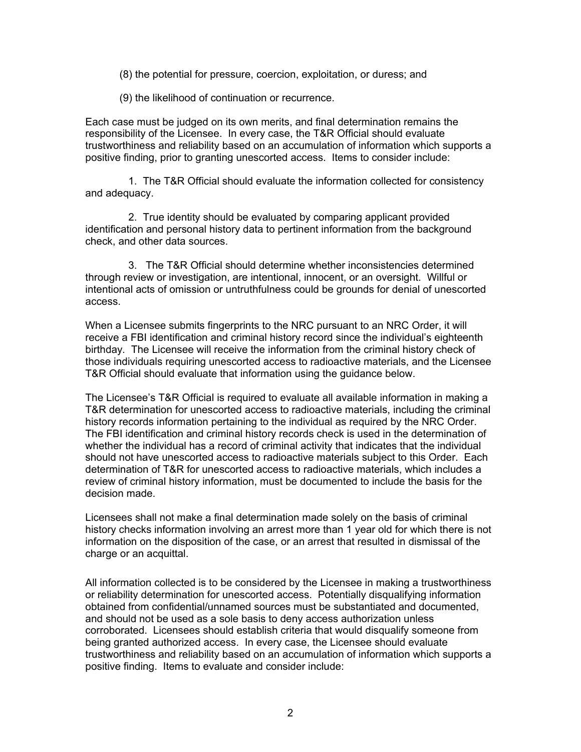(8) the potential for pressure, coercion, exploitation, or duress; and

(9) the likelihood of continuation or recurrence.

Each case must be judged on its own merits, and final determination remains the responsibility of the Licensee. In every case, the T&R Official should evaluate trustworthiness and reliability based on an accumulation of information which supports a positive finding, prior to granting unescorted access. Items to consider include:

1. The T&R Official should evaluate the information collected for consistency and adequacy.

2. True identity should be evaluated by comparing applicant provided identification and personal history data to pertinent information from the background check, and other data sources.

3. The T&R Official should determine whether inconsistencies determined through review or investigation, are intentional, innocent, or an oversight. Willful or intentional acts of omission or untruthfulness could be grounds for denial of unescorted access.

When a Licensee submits fingerprints to the NRC pursuant to an NRC Order, it will receive a FBI identification and criminal history record since the individual's eighteenth birthday*.* The Licensee will receive the information from the criminal history check of those individuals requiring unescorted access to radioactive materials, and the Licensee T&R Official should evaluate that information using the guidance below.

The Licensee's T&R Official is required to evaluate all available information in making a T&R determination for unescorted access to radioactive materials, including the criminal history records information pertaining to the individual as required by the NRC Order. The FBI identification and criminal history records check is used in the determination of whether the individual has a record of criminal activity that indicates that the individual should not have unescorted access to radioactive materials subject to this Order. Each determination of T&R for unescorted access to radioactive materials, which includes a review of criminal history information, must be documented to include the basis for the decision made.

Licensees shall not make a final determination made solely on the basis of criminal history checks information involving an arrest more than 1 year old for which there is not information on the disposition of the case, or an arrest that resulted in dismissal of the charge or an acquittal.

All information collected is to be considered by the Licensee in making a trustworthiness or reliability determination for unescorted access. Potentially disqualifying information obtained from confidential/unnamed sources must be substantiated and documented, and should not be used as a sole basis to deny access authorization unless corroborated. Licensees should establish criteria that would disqualify someone from being granted authorized access. In every case, the Licensee should evaluate trustworthiness and reliability based on an accumulation of information which supports a positive finding. Items to evaluate and consider include: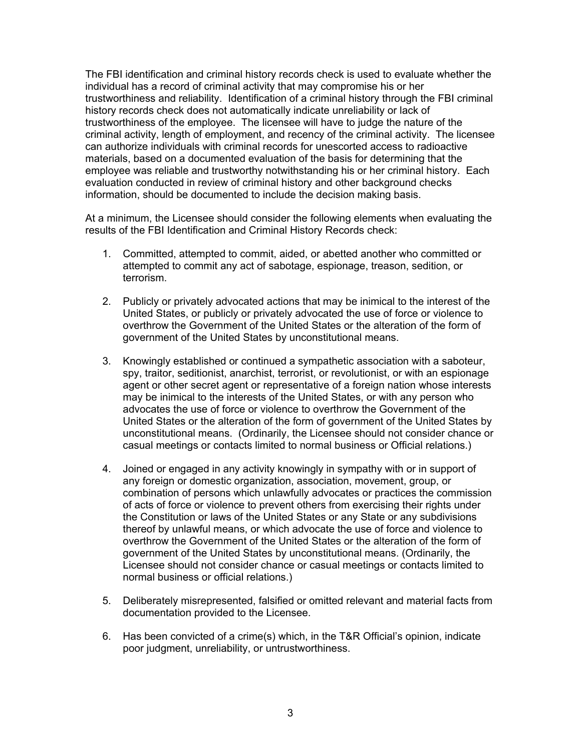The FBI identification and criminal history records check is used to evaluate whether the individual has a record of criminal activity that may compromise his or her trustworthiness and reliability. Identification of a criminal history through the FBI criminal history records check does not automatically indicate unreliability or lack of trustworthiness of the employee. The licensee will have to judge the nature of the criminal activity, length of employment, and recency of the criminal activity. The licensee can authorize individuals with criminal records for unescorted access to radioactive materials, based on a documented evaluation of the basis for determining that the employee was reliable and trustworthy notwithstanding his or her criminal history. Each evaluation conducted in review of criminal history and other background checks information, should be documented to include the decision making basis.

At a minimum, the Licensee should consider the following elements when evaluating the results of the FBI Identification and Criminal History Records check:

- 1. Committed, attempted to commit, aided, or abetted another who committed or attempted to commit any act of sabotage, espionage, treason, sedition, or terrorism.
- 2. Publicly or privately advocated actions that may be inimical to the interest of the United States, or publicly or privately advocated the use of force or violence to overthrow the Government of the United States or the alteration of the form of government of the United States by unconstitutional means.
- 3. Knowingly established or continued a sympathetic association with a saboteur, spy, traitor, seditionist, anarchist, terrorist, or revolutionist, or with an espionage agent or other secret agent or representative of a foreign nation whose interests may be inimical to the interests of the United States, or with any person who advocates the use of force or violence to overthrow the Government of the United States or the alteration of the form of government of the United States by unconstitutional means. (Ordinarily, the Licensee should not consider chance or casual meetings or contacts limited to normal business or Official relations.)
- 4. Joined or engaged in any activity knowingly in sympathy with or in support of any foreign or domestic organization, association, movement, group, or combination of persons which unlawfully advocates or practices the commission of acts of force or violence to prevent others from exercising their rights under the Constitution or laws of the United States or any State or any subdivisions thereof by unlawful means, or which advocate the use of force and violence to overthrow the Government of the United States or the alteration of the form of government of the United States by unconstitutional means. (Ordinarily, the Licensee should not consider chance or casual meetings or contacts limited to normal business or official relations.)
- 5. Deliberately misrepresented, falsified or omitted relevant and material facts from documentation provided to the Licensee.
- 6. Has been convicted of a crime(s) which, in the T&R Official's opinion, indicate poor judgment, unreliability, or untrustworthiness.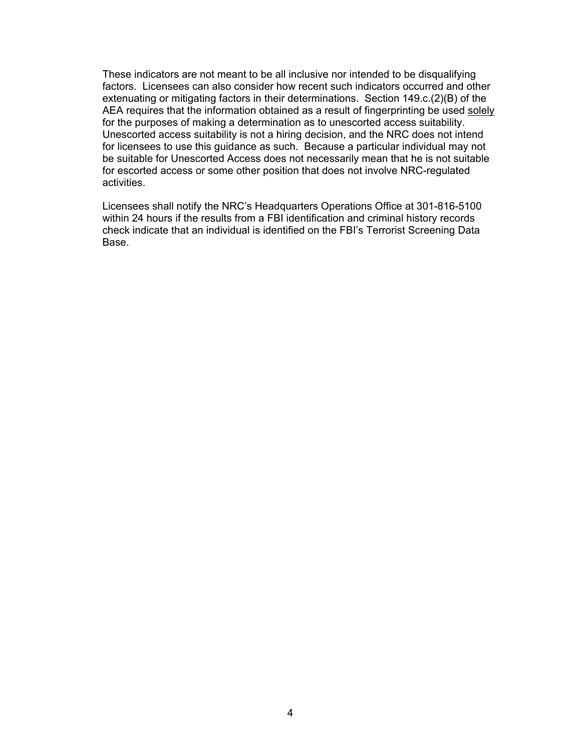These indicators are not meant to be all inclusive nor intended to be disqualifying factors. Licensees can also consider how recent such indicators occurred and other extenuating or mitigating factors in their determinations. Section 149.c.(2)(B) of the AEA requires that the information obtained as a result of fingerprinting be used solely for the purposes of making a determination as to unescorted access suitability. Unescorted access suitability is not a hiring decision, and the NRC does not intend for licensees to use this guidance as such. Because a particular individual may not be suitable for Unescorted Access does not necessarily mean that he is not suitable for escorted access or some other position that does not involve NRC-regulated activities.

Licensees shall notify the NRC's Headquarters Operations Office at 301-816-5100 within 24 hours if the results from a FBI identification and criminal history records check indicate that an individual is identified on the FBI's Terrorist Screening Data Base.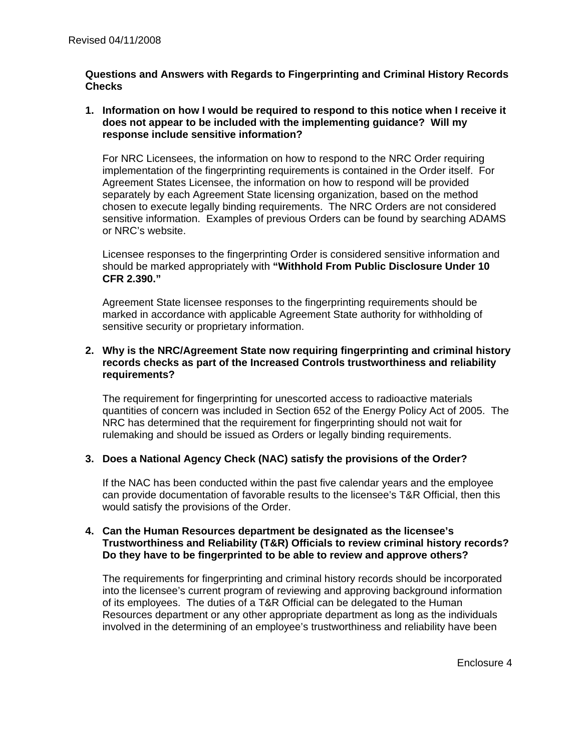# **Questions and Answers with Regards to Fingerprinting and Criminal History Records Checks**

### **1. Information on how I would be required to respond to this notice when I receive it does not appear to be included with the implementing guidance? Will my response include sensitive information?**

For NRC Licensees, the information on how to respond to the NRC Order requiring implementation of the fingerprinting requirements is contained in the Order itself. For Agreement States Licensee, the information on how to respond will be provided separately by each Agreement State licensing organization, based on the method chosen to execute legally binding requirements. The NRC Orders are not considered sensitive information. Examples of previous Orders can be found by searching ADAMS or NRC's website.

Licensee responses to the fingerprinting Order is considered sensitive information and should be marked appropriately with **"Withhold From Public Disclosure Under 10 CFR 2.390."** 

Agreement State licensee responses to the fingerprinting requirements should be marked in accordance with applicable Agreement State authority for withholding of sensitive security or proprietary information.

# **2. Why is the NRC/Agreement State now requiring fingerprinting and criminal history records checks as part of the Increased Controls trustworthiness and reliability requirements?**

The requirement for fingerprinting for unescorted access to radioactive materials quantities of concern was included in Section 652 of the Energy Policy Act of 2005. The NRC has determined that the requirement for fingerprinting should not wait for rulemaking and should be issued as Orders or legally binding requirements.

# **3. Does a National Agency Check (NAC) satisfy the provisions of the Order?**

If the NAC has been conducted within the past five calendar years and the employee can provide documentation of favorable results to the licensee's T&R Official, then this would satisfy the provisions of the Order.

### **4. Can the Human Resources department be designated as the licensee's Trustworthiness and Reliability (T&R) Officials to review criminal history records? Do they have to be fingerprinted to be able to review and approve others?**

The requirements for fingerprinting and criminal history records should be incorporated into the licensee's current program of reviewing and approving background information of its employees. The duties of a T&R Official can be delegated to the Human Resources department or any other appropriate department as long as the individuals involved in the determining of an employee's trustworthiness and reliability have been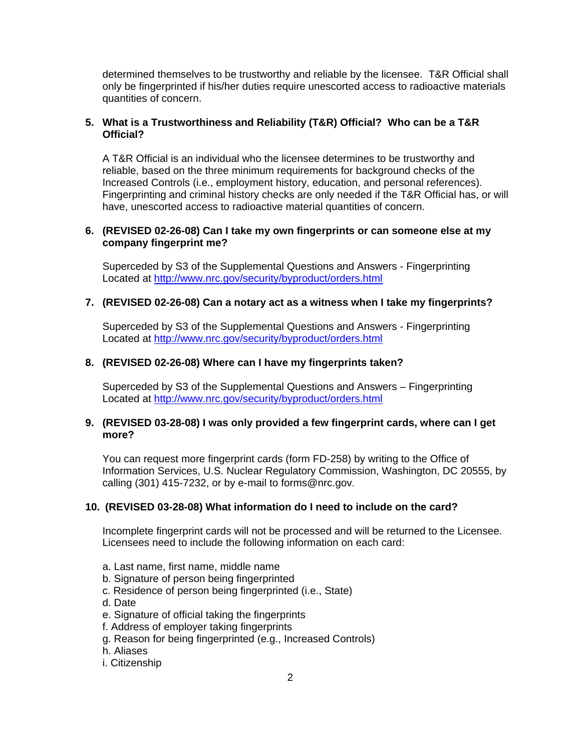determined themselves to be trustworthy and reliable by the licensee. T&R Official shall only be fingerprinted if his/her duties require unescorted access to radioactive materials quantities of concern.

# **5. What is a Trustworthiness and Reliability (T&R) Official? Who can be a T&R Official?**

A T&R Official is an individual who the licensee determines to be trustworthy and reliable, based on the three minimum requirements for background checks of the Increased Controls (i.e., employment history, education, and personal references). Fingerprinting and criminal history checks are only needed if the T&R Official has, or will have, unescorted access to radioactive material quantities of concern.

## **6. (REVISED 02-26-08) Can I take my own fingerprints or can someone else at my company fingerprint me?**

Superceded by S3 of the Supplemental Questions and Answers - Fingerprinting Located at http://www.nrc.gov/security/byproduct/orders.html

### **7. (REVISED 02-26-08) Can a notary act as a witness when I take my fingerprints?**

Superceded by S3 of the Supplemental Questions and Answers - Fingerprinting Located at http://www.nrc.gov/security/byproduct/orders.html

# **8. (REVISED 02-26-08) Where can I have my fingerprints taken?**

Superceded by S3 of the Supplemental Questions and Answers – Fingerprinting Located at http://www.nrc.gov/security/byproduct/orders.html

### **9. (REVISED 03-28-08) I was only provided a few fingerprint cards, where can I get more?**

You can request more fingerprint cards (form FD-258) by writing to the Office of Information Services, U.S. Nuclear Regulatory Commission, Washington, DC 20555, by calling (301) 415-7232, or by e-mail to forms@nrc.gov.

### **10. (REVISED 03-28-08) What information do I need to include on the card?**

Incomplete fingerprint cards will not be processed and will be returned to the Licensee. Licensees need to include the following information on each card:

- a. Last name, first name, middle name
- b. Signature of person being fingerprinted
- c. Residence of person being fingerprinted (i.e., State)
- d. Date
- e. Signature of official taking the fingerprints
- f. Address of employer taking fingerprints
- g. Reason for being fingerprinted (e.g., Increased Controls)
- h. Aliases
- i. Citizenship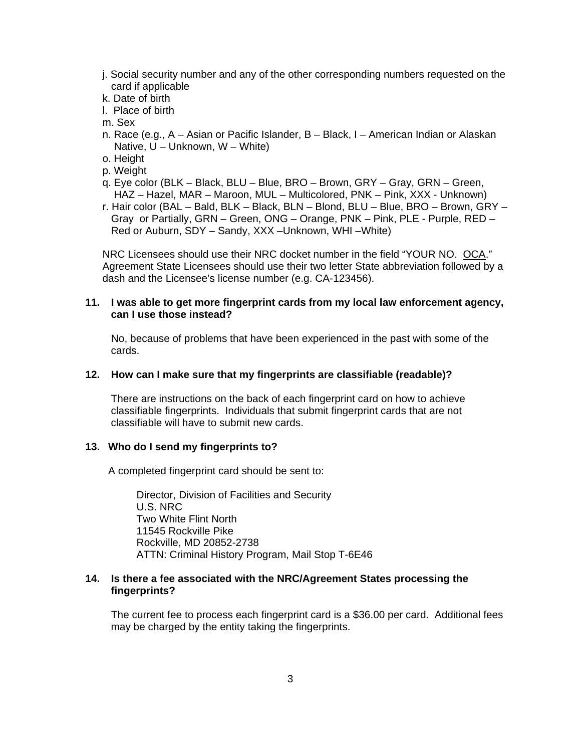- j. Social security number and any of the other corresponding numbers requested on the card if applicable
- k. Date of birth
- l. Place of birth
- m. Sex
- n. Race (e.g., A Asian or Pacific Islander, B Black, I American Indian or Alaskan Native, U – Unknown, W – White)
- o. Height
- p. Weight
- q. Eye color (BLK Black, BLU Blue, BRO Brown, GRY Gray, GRN Green, HAZ – Hazel, MAR – Maroon, MUL – Multicolored, PNK – Pink, XXX - Unknown)
- r. Hair color (BAL Bald, BLK Black, BLN Blond, BLU Blue, BRO Brown, GRY Gray or Partially, GRN – Green, ONG – Orange, PNK – Pink, PLE - Purple, RED – Red or Auburn, SDY – Sandy, XXX –Unknown, WHI –White)

 NRC Licensees should use their NRC docket number in the field "YOUR NO. OCA." Agreement State Licensees should use their two letter State abbreviation followed by a dash and the Licensee's license number (e.g. CA-123456).

### **11. I was able to get more fingerprint cards from my local law enforcement agency, can I use those instead?**

 No, because of problems that have been experienced in the past with some of the cards.

#### **12. How can I make sure that my fingerprints are classifiable (readable)?**

There are instructions on the back of each fingerprint card on how to achieve classifiable fingerprints. Individuals that submit fingerprint cards that are not classifiable will have to submit new cards.

#### **13. Who do I send my fingerprints to?**

A completed fingerprint card should be sent to:

 Director, Division of Facilities and Security U.S. NRC Two White Flint North 11545 Rockville Pike Rockville, MD 20852-2738 ATTN: Criminal History Program, Mail Stop T-6E46

### **14. Is there a fee associated with the NRC/Agreement States processing the fingerprints?**

 The current fee to process each fingerprint card is a \$36.00 per card. Additional fees may be charged by the entity taking the fingerprints.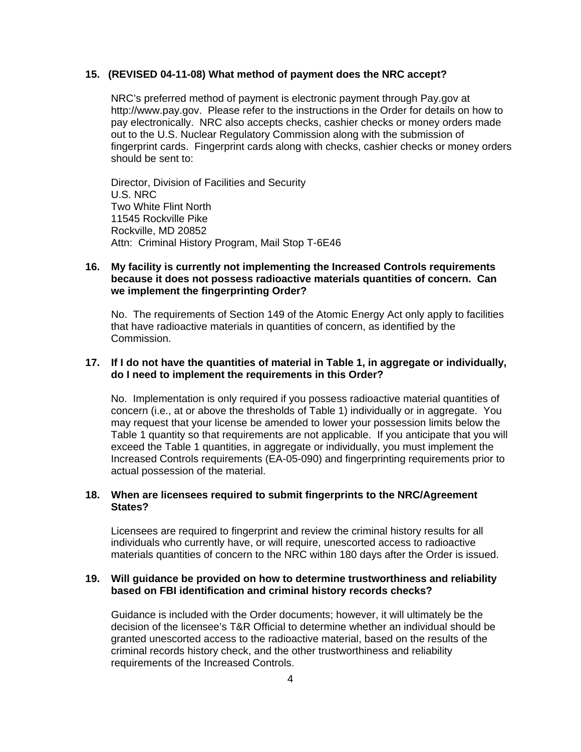### **15. (REVISED 04-11-08) What method of payment does the NRC accept?**

 NRC's preferred method of payment is electronic payment through Pay.gov at http://www.pay.gov. Please refer to the instructions in the Order for details on how to pay electronically. NRC also accepts checks, cashier checks or money orders made out to the U.S. Nuclear Regulatory Commission along with the submission of fingerprint cards. Fingerprint cards along with checks, cashier checks or money orders should be sent to:

 Director, Division of Facilities and Security U.S. NRC Two White Flint North 11545 Rockville Pike Rockville, MD 20852 Attn: Criminal History Program, Mail Stop T-6E46

### **16. My facility is currently not implementing the Increased Controls requirements because it does not possess radioactive materials quantities of concern. Can we implement the fingerprinting Order?**

 No. The requirements of Section 149 of the Atomic Energy Act only apply to facilities that have radioactive materials in quantities of concern, as identified by the Commission.

### **17. If I do not have the quantities of material in Table 1, in aggregate or individually, do I need to implement the requirements in this Order?**

 No. Implementation is only required if you possess radioactive material quantities of concern (i.e., at or above the thresholds of Table 1) individually or in aggregate. You may request that your license be amended to lower your possession limits below the Table 1 quantity so that requirements are not applicable. If you anticipate that you will exceed the Table 1 quantities, in aggregate or individually, you must implement the Increased Controls requirements (EA-05-090) and fingerprinting requirements prior to actual possession of the material.

### **18. When are licensees required to submit fingerprints to the NRC/Agreement States?**

 Licensees are required to fingerprint and review the criminal history results for all individuals who currently have, or will require, unescorted access to radioactive materials quantities of concern to the NRC within 180 days after the Order is issued.

### **19. Will guidance be provided on how to determine trustworthiness and reliability based on FBI identification and criminal history records checks?**

 Guidance is included with the Order documents; however, it will ultimately be the decision of the licensee's T&R Official to determine whether an individual should be granted unescorted access to the radioactive material, based on the results of the criminal records history check, and the other trustworthiness and reliability requirements of the Increased Controls.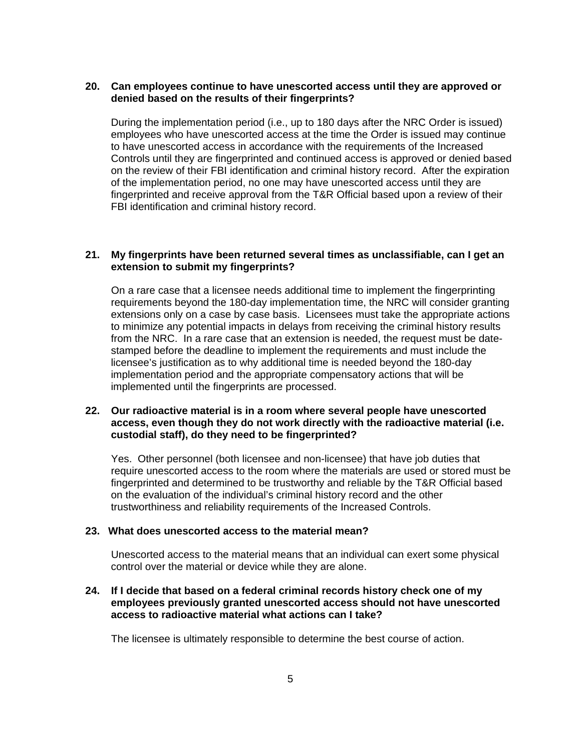### **20. Can employees continue to have unescorted access until they are approved or denied based on the results of their fingerprints?**

During the implementation period (i.e., up to 180 days after the NRC Order is issued) employees who have unescorted access at the time the Order is issued may continue to have unescorted access in accordance with the requirements of the Increased Controls until they are fingerprinted and continued access is approved or denied based on the review of their FBI identification and criminal history record. After the expiration of the implementation period, no one may have unescorted access until they are fingerprinted and receive approval from the T&R Official based upon a review of their FBI identification and criminal history record.

### **21. My fingerprints have been returned several times as unclassifiable, can I get an extension to submit my fingerprints?**

 On a rare case that a licensee needs additional time to implement the fingerprinting requirements beyond the 180-day implementation time, the NRC will consider granting extensions only on a case by case basis. Licensees must take the appropriate actions to minimize any potential impacts in delays from receiving the criminal history results from the NRC. In a rare case that an extension is needed, the request must be datestamped before the deadline to implement the requirements and must include the licensee's justification as to why additional time is needed beyond the 180-day implementation period and the appropriate compensatory actions that will be implemented until the fingerprints are processed.

### **22. Our radioactive material is in a room where several people have unescorted access, even though they do not work directly with the radioactive material (i.e. custodial staff), do they need to be fingerprinted?**

 Yes. Other personnel (both licensee and non-licensee) that have job duties that require unescorted access to the room where the materials are used or stored must be fingerprinted and determined to be trustworthy and reliable by the T&R Official based on the evaluation of the individual's criminal history record and the other trustworthiness and reliability requirements of the Increased Controls.

#### **23. What does unescorted access to the material mean?**

 Unescorted access to the material means that an individual can exert some physical control over the material or device while they are alone.

## **24. If I decide that based on a federal criminal records history check one of my employees previously granted unescorted access should not have unescorted access to radioactive material what actions can I take?**

The licensee is ultimately responsible to determine the best course of action.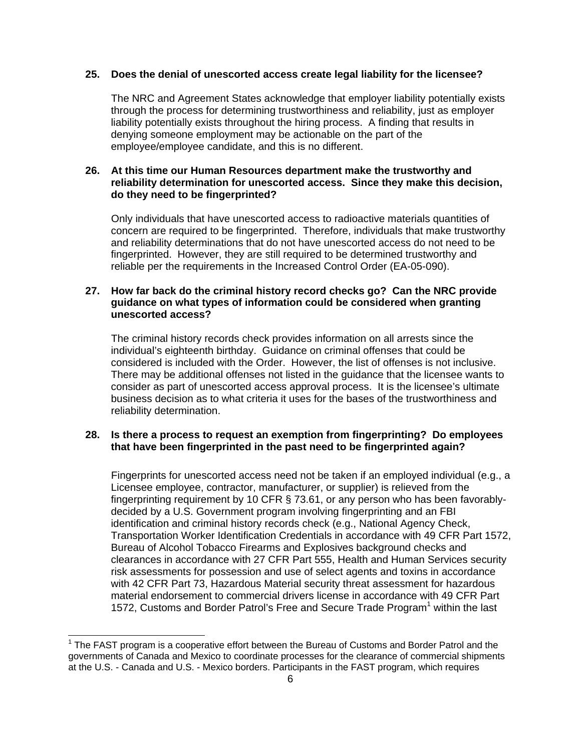### **25. Does the denial of unescorted access create legal liability for the licensee?**

 The NRC and Agreement States acknowledge that employer liability potentially exists through the process for determining trustworthiness and reliability, just as employer liability potentially exists throughout the hiring process. A finding that results in denying someone employment may be actionable on the part of the employee/employee candidate, and this is no different.

### **26. At this time our Human Resources department make the trustworthy and reliability determination for unescorted access. Since they make this decision, do they need to be fingerprinted?**

 Only individuals that have unescorted access to radioactive materials quantities of concern are required to be fingerprinted. Therefore, individuals that make trustworthy and reliability determinations that do not have unescorted access do not need to be fingerprinted. However, they are still required to be determined trustworthy and reliable per the requirements in the Increased Control Order (EA-05-090).

## **27. How far back do the criminal history record checks go? Can the NRC provide guidance on what types of information could be considered when granting unescorted access?**

 The criminal history records check provides information on all arrests since the individual's eighteenth birthday. Guidance on criminal offenses that could be considered is included with the Order. However, the list of offenses is not inclusive. There may be additional offenses not listed in the guidance that the licensee wants to consider as part of unescorted access approval process. It is the licensee's ultimate business decision as to what criteria it uses for the bases of the trustworthiness and reliability determination.

### **28. Is there a process to request an exemption from fingerprinting? Do employees that have been fingerprinted in the past need to be fingerprinted again?**

 Fingerprints for unescorted access need not be taken if an employed individual (e.g., a Licensee employee, contractor, manufacturer, or supplier) is relieved from the fingerprinting requirement by 10 CFR § 73.61, or any person who has been favorablydecided by a U.S. Government program involving fingerprinting and an FBI identification and criminal history records check (e.g., National Agency Check, Transportation Worker Identification Credentials in accordance with 49 CFR Part 1572, Bureau of Alcohol Tobacco Firearms and Explosives background checks and clearances in accordance with 27 CFR Part 555, Health and Human Services security risk assessments for possession and use of select agents and toxins in accordance with 42 CFR Part 73, Hazardous Material security threat assessment for hazardous material endorsement to commercial drivers license in accordance with 49 CFR Part 1572, Customs and Border Patrol's Free and Secure Trade Program<sup>1</sup> within the last

 $\overline{\phantom{a}}$ 

 $1$  The FAST program is a cooperative effort between the Bureau of Customs and Border Patrol and the governments of Canada and Mexico to coordinate processes for the clearance of commercial shipments at the U.S. - Canada and U.S. - Mexico borders. Participants in the FAST program, which requires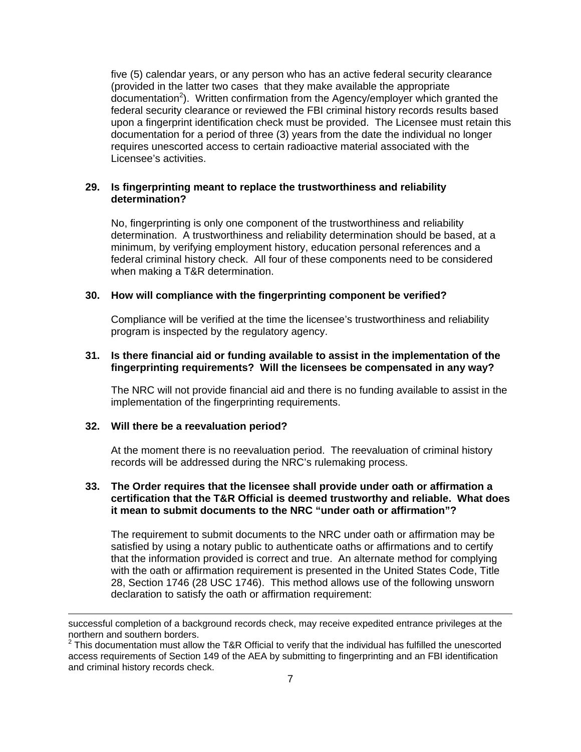five (5) calendar years, or any person who has an active federal security clearance (provided in the latter two cases that they make available the appropriate documentation<sup>2</sup>). Written confirmation from the Agency/employer which granted the federal security clearance or reviewed the FBI criminal history records results based upon a fingerprint identification check must be provided. The Licensee must retain this documentation for a period of three (3) years from the date the individual no longer requires unescorted access to certain radioactive material associated with the Licensee's activities.

### **29. Is fingerprinting meant to replace the trustworthiness and reliability determination?**

 No, fingerprinting is only one component of the trustworthiness and reliability determination. A trustworthiness and reliability determination should be based, at a minimum, by verifying employment history, education personal references and a federal criminal history check. All four of these components need to be considered when making a T&R determination.

### **30. How will compliance with the fingerprinting component be verified?**

Compliance will be verified at the time the licensee's trustworthiness and reliability program is inspected by the regulatory agency.

### **31. Is there financial aid or funding available to assist in the implementation of the fingerprinting requirements? Will the licensees be compensated in any way?**

 The NRC will not provide financial aid and there is no funding available to assist in the implementation of the fingerprinting requirements.

### **32. Will there be a reevaluation period?**

l

At the moment there is no reevaluation period. The reevaluation of criminal history records will be addressed during the NRC's rulemaking process.

### **33. The Order requires that the licensee shall provide under oath or affirmation a certification that the T&R Official is deemed trustworthy and reliable. What does it mean to submit documents to the NRC "under oath or affirmation"?**

The requirement to submit documents to the NRC under oath or affirmation may be satisfied by using a notary public to authenticate oaths or affirmations and to certify that the information provided is correct and true. An alternate method for complying with the oath or affirmation requirement is presented in the United States Code, Title 28, Section 1746 (28 USC 1746). This method allows use of the following unsworn declaration to satisfy the oath or affirmation requirement:

successful completion of a background records check, may receive expedited entrance privileges at the northern and southern borders.

 $2$  This documentation must allow the T&R Official to verify that the individual has fulfilled the unescorted access requirements of Section 149 of the AEA by submitting to fingerprinting and an FBI identification and criminal history records check.